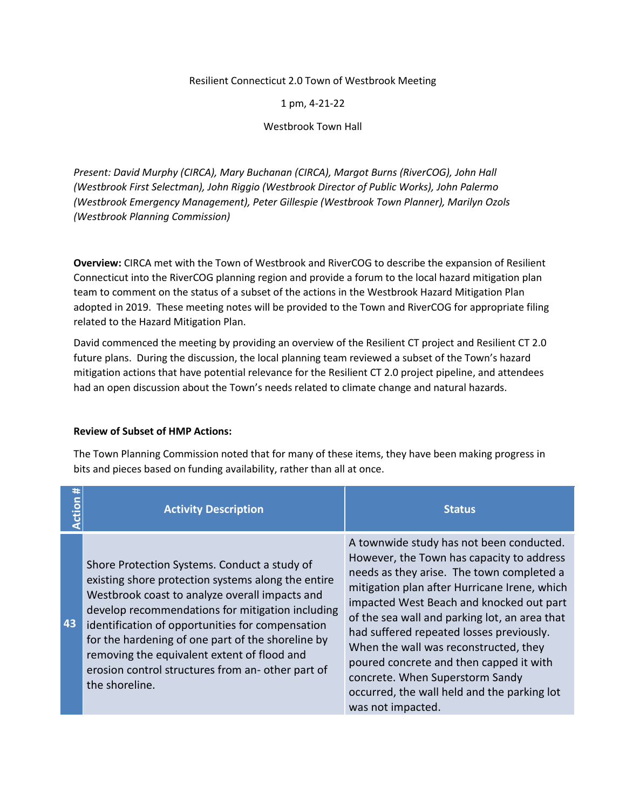### Resilient Connecticut 2.0 Town of Westbrook Meeting

### 1 pm, 4-21-22

#### Westbrook Town Hall

*Present: David Murphy (CIRCA), Mary Buchanan (CIRCA), Margot Burns (RiverCOG), John Hall (Westbrook First Selectman), John Riggio (Westbrook Director of Public Works), John Palermo (Westbrook Emergency Management), Peter Gillespie (Westbrook Town Planner), Marilyn Ozols (Westbrook Planning Commission)*

**Overview:** CIRCA met with the Town of Westbrook and RiverCOG to describe the expansion of Resilient Connecticut into the RiverCOG planning region and provide a forum to the local hazard mitigation plan team to comment on the status of a subset of the actions in the Westbrook Hazard Mitigation Plan adopted in 2019. These meeting notes will be provided to the Town and RiverCOG for appropriate filing related to the Hazard Mitigation Plan.

David commenced the meeting by providing an overview of the Resilient CT project and Resilient CT 2.0 future plans. During the discussion, the local planning team reviewed a subset of the Town's hazard mitigation actions that have potential relevance for the Resilient CT 2.0 project pipeline, and attendees had an open discussion about the Town's needs related to climate change and natural hazards.

### **Review of Subset of HMP Actions:**

The Town Planning Commission noted that for many of these items, they have been making progress in bits and pieces based on funding availability, rather than all at once.

| #<br>ction | <b>Activity Description</b>                                                                                                                                                                                                                                                                                                                                                                                                            | <b>Status</b>                                                                                                                                                                                                                                                                                                                                                                                                                                                                                                          |
|------------|----------------------------------------------------------------------------------------------------------------------------------------------------------------------------------------------------------------------------------------------------------------------------------------------------------------------------------------------------------------------------------------------------------------------------------------|------------------------------------------------------------------------------------------------------------------------------------------------------------------------------------------------------------------------------------------------------------------------------------------------------------------------------------------------------------------------------------------------------------------------------------------------------------------------------------------------------------------------|
| 43         | Shore Protection Systems. Conduct a study of<br>existing shore protection systems along the entire<br>Westbrook coast to analyze overall impacts and<br>develop recommendations for mitigation including<br>identification of opportunities for compensation<br>for the hardening of one part of the shoreline by<br>removing the equivalent extent of flood and<br>erosion control structures from an-other part of<br>the shoreline. | A townwide study has not been conducted.<br>However, the Town has capacity to address<br>needs as they arise. The town completed a<br>mitigation plan after Hurricane Irene, which<br>impacted West Beach and knocked out part<br>of the sea wall and parking lot, an area that<br>had suffered repeated losses previously.<br>When the wall was reconstructed, they<br>poured concrete and then capped it with<br>concrete. When Superstorm Sandy<br>occurred, the wall held and the parking lot<br>was not impacted. |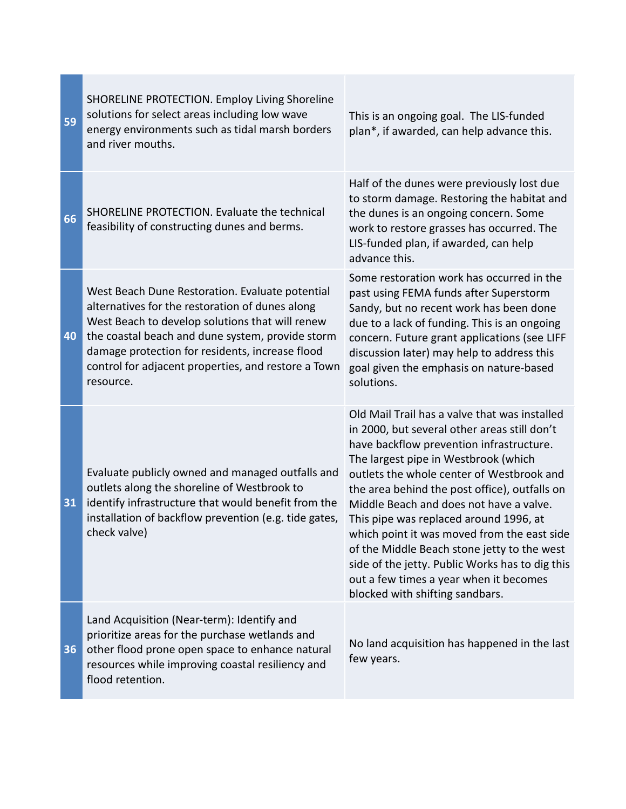| 59 | SHORELINE PROTECTION. Employ Living Shoreline<br>solutions for select areas including low wave<br>energy environments such as tidal marsh borders<br>and river mouths.                                                                                                                                                           | This is an ongoing goal. The LIS-funded<br>plan*, if awarded, can help advance this.                                                                                                                                                                                                                                                                                                                                                                                                                                                                                                               |
|----|----------------------------------------------------------------------------------------------------------------------------------------------------------------------------------------------------------------------------------------------------------------------------------------------------------------------------------|----------------------------------------------------------------------------------------------------------------------------------------------------------------------------------------------------------------------------------------------------------------------------------------------------------------------------------------------------------------------------------------------------------------------------------------------------------------------------------------------------------------------------------------------------------------------------------------------------|
| 66 | SHORELINE PROTECTION. Evaluate the technical<br>feasibility of constructing dunes and berms.                                                                                                                                                                                                                                     | Half of the dunes were previously lost due<br>to storm damage. Restoring the habitat and<br>the dunes is an ongoing concern. Some<br>work to restore grasses has occurred. The<br>LIS-funded plan, if awarded, can help<br>advance this.                                                                                                                                                                                                                                                                                                                                                           |
| 40 | West Beach Dune Restoration. Evaluate potential<br>alternatives for the restoration of dunes along<br>West Beach to develop solutions that will renew<br>the coastal beach and dune system, provide storm<br>damage protection for residents, increase flood<br>control for adjacent properties, and restore a Town<br>resource. | Some restoration work has occurred in the<br>past using FEMA funds after Superstorm<br>Sandy, but no recent work has been done<br>due to a lack of funding. This is an ongoing<br>concern. Future grant applications (see LIFF<br>discussion later) may help to address this<br>goal given the emphasis on nature-based<br>solutions.                                                                                                                                                                                                                                                              |
| 31 | Evaluate publicly owned and managed outfalls and<br>outlets along the shoreline of Westbrook to<br>identify infrastructure that would benefit from the<br>installation of backflow prevention (e.g. tide gates,<br>check valve)                                                                                                  | Old Mail Trail has a valve that was installed<br>in 2000, but several other areas still don't<br>have backflow prevention infrastructure.<br>The largest pipe in Westbrook (which<br>outlets the whole center of Westbrook and<br>the area behind the post office), outfalls on<br>Middle Beach and does not have a valve.<br>This pipe was replaced around 1996, at<br>which point it was moved from the east side<br>of the Middle Beach stone jetty to the west<br>side of the jetty. Public Works has to dig this<br>out a few times a year when it becomes<br>blocked with shifting sandbars. |
| 36 | Land Acquisition (Near-term): Identify and<br>prioritize areas for the purchase wetlands and<br>other flood prone open space to enhance natural<br>resources while improving coastal resiliency and<br>flood retention.                                                                                                          | No land acquisition has happened in the last<br>few years.                                                                                                                                                                                                                                                                                                                                                                                                                                                                                                                                         |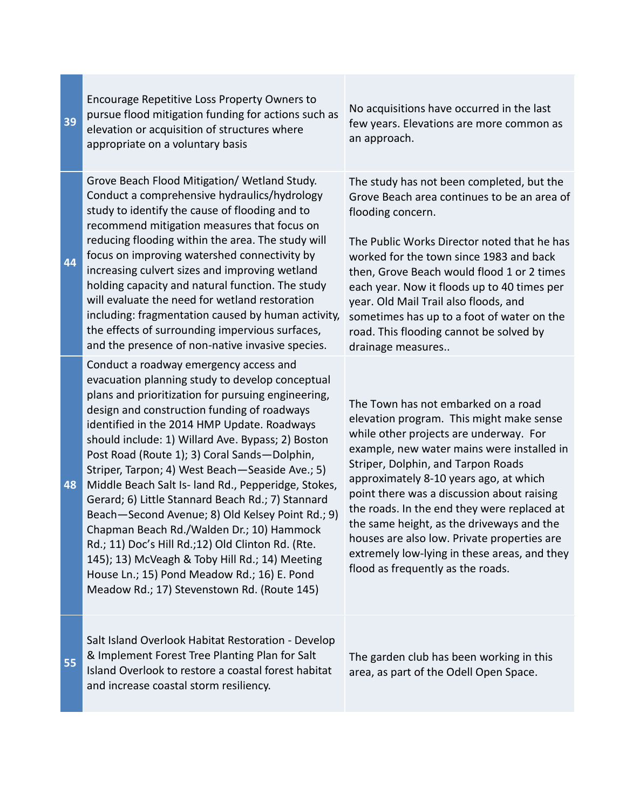| 39 | Encourage Repetitive Loss Property Owners to<br>pursue flood mitigation funding for actions such as<br>elevation or acquisition of structures where<br>appropriate on a voluntary basis                                                                                                                                                                                                                                                                                                                                                                                                                                                                                                                                                                                                                                 | No acquisitions have occurred in the last<br>few years. Elevations are more common as<br>an approach.                                                                                                                                                                                                                                                                                                                                                                                                                                 |
|----|-------------------------------------------------------------------------------------------------------------------------------------------------------------------------------------------------------------------------------------------------------------------------------------------------------------------------------------------------------------------------------------------------------------------------------------------------------------------------------------------------------------------------------------------------------------------------------------------------------------------------------------------------------------------------------------------------------------------------------------------------------------------------------------------------------------------------|---------------------------------------------------------------------------------------------------------------------------------------------------------------------------------------------------------------------------------------------------------------------------------------------------------------------------------------------------------------------------------------------------------------------------------------------------------------------------------------------------------------------------------------|
| 44 | Grove Beach Flood Mitigation/ Wetland Study.<br>Conduct a comprehensive hydraulics/hydrology<br>study to identify the cause of flooding and to<br>recommend mitigation measures that focus on<br>reducing flooding within the area. The study will<br>focus on improving watershed connectivity by<br>increasing culvert sizes and improving wetland<br>holding capacity and natural function. The study<br>will evaluate the need for wetland restoration<br>including: fragmentation caused by human activity,<br>the effects of surrounding impervious surfaces,<br>and the presence of non-native invasive species.                                                                                                                                                                                                 | The study has not been completed, but the<br>Grove Beach area continues to be an area of<br>flooding concern.<br>The Public Works Director noted that he has<br>worked for the town since 1983 and back<br>then, Grove Beach would flood 1 or 2 times<br>each year. Now it floods up to 40 times per<br>year. Old Mail Trail also floods, and<br>sometimes has up to a foot of water on the<br>road. This flooding cannot be solved by<br>drainage measures                                                                           |
| 48 | Conduct a roadway emergency access and<br>evacuation planning study to develop conceptual<br>plans and prioritization for pursuing engineering,<br>design and construction funding of roadways<br>identified in the 2014 HMP Update. Roadways<br>should include: 1) Willard Ave. Bypass; 2) Boston<br>Post Road (Route 1); 3) Coral Sands-Dolphin,<br>Striper, Tarpon; 4) West Beach-Seaside Ave.; 5)<br>Middle Beach Salt Is- land Rd., Pepperidge, Stokes,<br>Gerard; 6) Little Stannard Beach Rd.; 7) Stannard<br>Beach-Second Avenue; 8) Old Kelsey Point Rd.; 9)<br>Chapman Beach Rd./Walden Dr.; 10) Hammock<br>Rd.; 11) Doc's Hill Rd.;12) Old Clinton Rd. (Rte.<br>145); 13) McVeagh & Toby Hill Rd.; 14) Meeting<br>House Ln.; 15) Pond Meadow Rd.; 16) E. Pond<br>Meadow Rd.; 17) Stevenstown Rd. (Route 145) | The Town has not embarked on a road<br>elevation program. This might make sense<br>while other projects are underway. For<br>example, new water mains were installed in<br>Striper, Dolphin, and Tarpon Roads<br>approximately 8-10 years ago, at which<br>point there was a discussion about raising<br>the roads. In the end they were replaced at<br>the same height, as the driveways and the<br>houses are also low. Private properties are<br>extremely low-lying in these areas, and they<br>flood as frequently as the roads. |
| 55 | Salt Island Overlook Habitat Restoration - Develop<br>& Implement Forest Tree Planting Plan for Salt<br>Island Overlook to restore a coastal forest habitat<br>and increase coastal storm resiliency.                                                                                                                                                                                                                                                                                                                                                                                                                                                                                                                                                                                                                   | The garden club has been working in this<br>area, as part of the Odell Open Space.                                                                                                                                                                                                                                                                                                                                                                                                                                                    |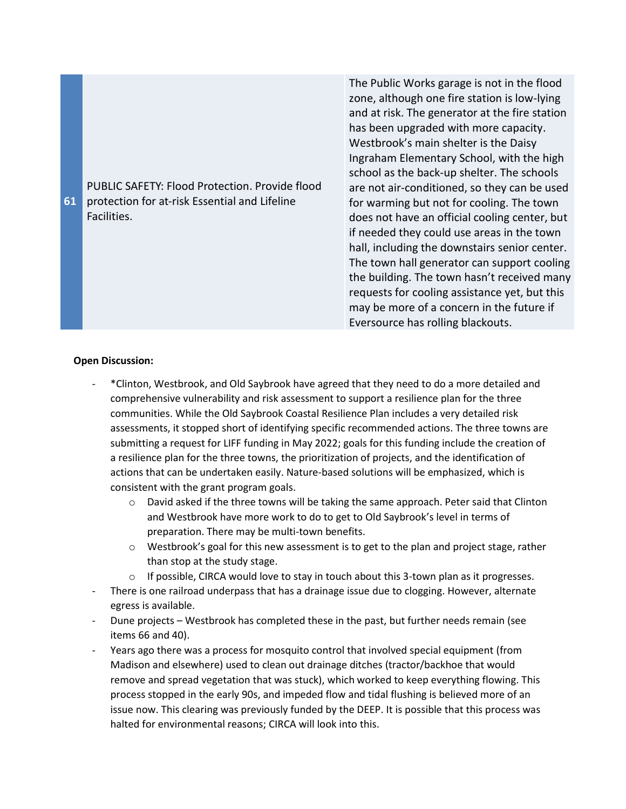

The Public Works garage is not in the flood zone, although one fire station is low-lying and at risk. The generator at the fire station has been upgraded with more capacity. Westbrook's main shelter is the Daisy Ingraham Elementary School, with the high school as the back-up shelter. The schools are not air-conditioned, so they can be used for warming but not for cooling. The town does not have an official cooling center, but if needed they could use areas in the town hall, including the downstairs senior center. The town hall generator can support cooling the building. The town hasn't received many requests for cooling assistance yet, but this may be more of a concern in the future if Eversource has rolling blackouts.

## **Open Discussion:**

- \*Clinton, Westbrook, and Old Saybrook have agreed that they need to do a more detailed and comprehensive vulnerability and risk assessment to support a resilience plan for the three communities. While the Old Saybrook Coastal Resilience Plan includes a very detailed risk assessments, it stopped short of identifying specific recommended actions. The three towns are submitting a request for LIFF funding in May 2022; goals for this funding include the creation of a resilience plan for the three towns, the prioritization of projects, and the identification of actions that can be undertaken easily. Nature-based solutions will be emphasized, which is consistent with the grant program goals.
	- $\circ$  David asked if the three towns will be taking the same approach. Peter said that Clinton and Westbrook have more work to do to get to Old Saybrook's level in terms of preparation. There may be multi-town benefits.
	- o Westbrook's goal for this new assessment is to get to the plan and project stage, rather than stop at the study stage.
	- $\circ$  If possible, CIRCA would love to stay in touch about this 3-town plan as it progresses.
- There is one railroad underpass that has a drainage issue due to clogging. However, alternate egress is available.
- Dune projects Westbrook has completed these in the past, but further needs remain (see items 66 and 40).
- Years ago there was a process for mosquito control that involved special equipment (from Madison and elsewhere) used to clean out drainage ditches (tractor/backhoe that would remove and spread vegetation that was stuck), which worked to keep everything flowing. This process stopped in the early 90s, and impeded flow and tidal flushing is believed more of an issue now. This clearing was previously funded by the DEEP. It is possible that this process was halted for environmental reasons; CIRCA will look into this.